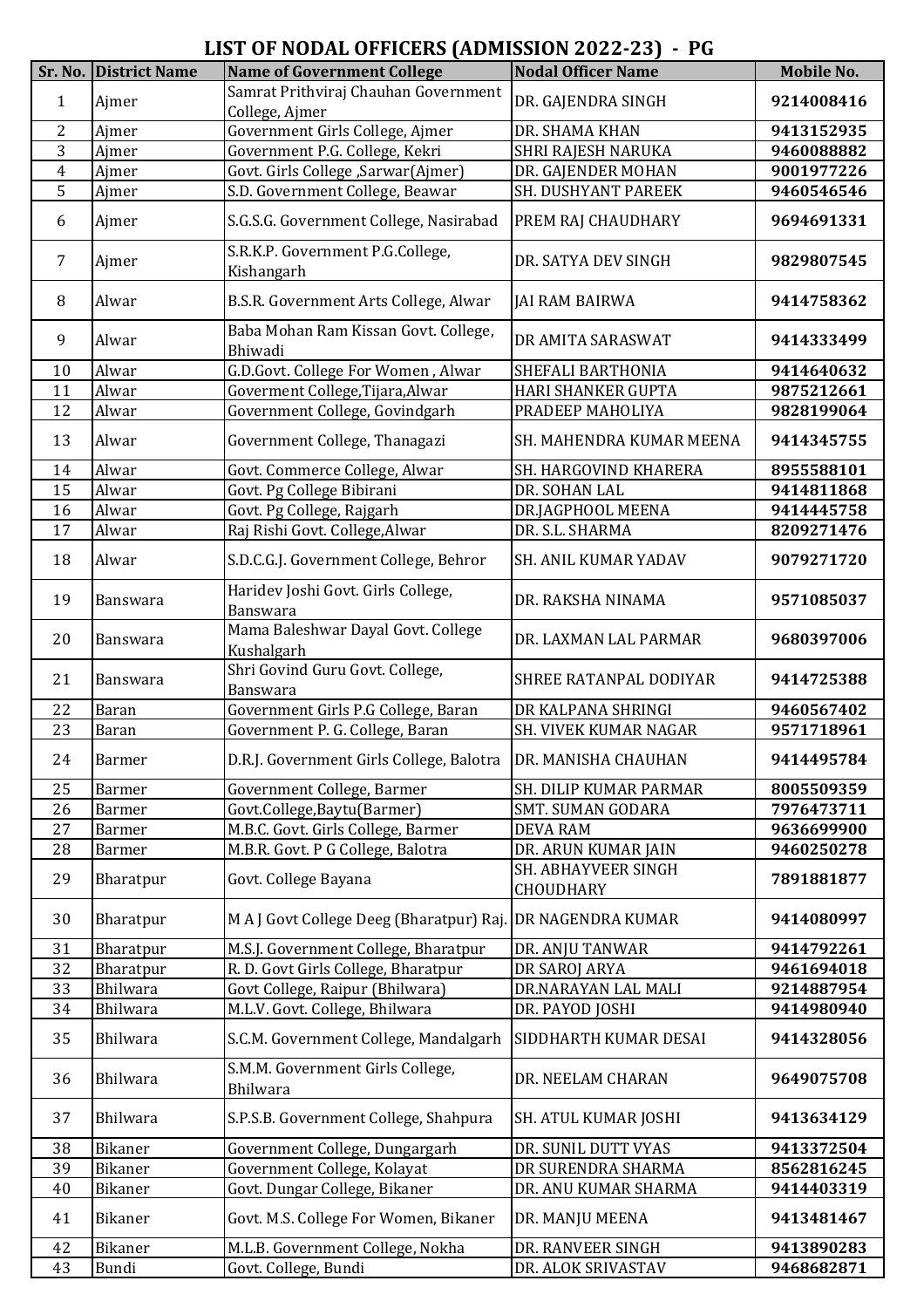## **LIST OF NODAL OFFICERS (ADMISSION 2022-23) - PG**

|                | Sr. No. District Name | <b>Name of Government College</b>                              | <b>Nodal Officer Name</b>        | Mobile No. |
|----------------|-----------------------|----------------------------------------------------------------|----------------------------------|------------|
|                |                       | Samrat Prithviraj Chauhan Government                           |                                  |            |
| $\mathbf{1}$   | Ajmer                 | College, Ajmer                                                 | DR. GAJENDRA SINGH               | 9214008416 |
| $\overline{2}$ | Ajmer                 | Government Girls College, Ajmer                                | DR. SHAMA KHAN                   |            |
| 3              | Ajmer                 |                                                                |                                  | 9413152935 |
|                | Ajmer                 | Government P.G. College, Kekri                                 | SHRI RAJESH NARUKA               | 9460088882 |
| $\overline{4}$ |                       | Govt. Girls College , Sarwar (Ajmer)                           | DR. GAJENDER MOHAN               | 9001977226 |
| 5              | Ajmer                 | S.D. Government College, Beawar                                | SH. DUSHYANT PAREEK              | 9460546546 |
| 6              | Ajmer                 | S.G.S.G. Government College, Nasirabad                         | PREM RAJ CHAUDHARY               | 9694691331 |
| $\overline{7}$ | Ajmer                 | S.R.K.P. Government P.G.College,<br>Kishangarh                 | DR. SATYA DEV SINGH              | 9829807545 |
| 8              | Alwar                 | B.S.R. Government Arts College, Alwar                          | <b>JAI RAM BAIRWA</b>            | 9414758362 |
| 9              | Alwar                 | Baba Mohan Ram Kissan Govt. College,<br>Bhiwadi                | DR AMITA SARASWAT                | 9414333499 |
| 10             | Alwar                 | G.D.Govt. College For Women, Alwar                             | SHEFALI BARTHONIA                | 9414640632 |
| 11             | Alwar                 | Goverment College, Tijara, Alwar                               | HARI SHANKER GUPTA               | 9875212661 |
| 12             | Alwar                 | Government College, Govindgarh                                 | PRADEEP MAHOLIYA                 | 9828199064 |
| 13             | Alwar                 | Government College, Thanagazi                                  | SH. MAHENDRA KUMAR MEENA         | 9414345755 |
|                |                       |                                                                |                                  |            |
| 14             | Alwar                 | Govt. Commerce College, Alwar                                  | SH. HARGOVIND KHARERA            | 8955588101 |
| 15             | Alwar                 | Govt. Pg College Bibirani                                      | DR. SOHAN LAL                    | 9414811868 |
| 16             | Alwar                 | Govt. Pg College, Rajgarh                                      | DR.JAGPHOOL MEENA                | 9414445758 |
| 17             | Alwar                 | Raj Rishi Govt. College, Alwar                                 | DR. S.L. SHARMA                  | 8209271476 |
| 18             | Alwar                 | S.D.C.G.J. Government College, Behror                          | SH. ANIL KUMAR YADAV             | 9079271720 |
| 19             | Banswara              | Haridev Joshi Govt. Girls College,<br>Banswara                 | DR. RAKSHA NINAMA                | 9571085037 |
| 20             | <b>Banswara</b>       | Mama Baleshwar Dayal Govt. College<br>Kushalgarh               | DR. LAXMAN LAL PARMAR            | 9680397006 |
| 21             | Banswara              | Shri Govind Guru Govt. College,<br>Banswara                    | SHREE RATANPAL DODIYAR           | 9414725388 |
| 22             | Baran                 | Government Girls P.G College, Baran                            | DR KALPANA SHRINGI               | 9460567402 |
| 23             | Baran                 | Government P. G. College, Baran                                | SH. VIVEK KUMAR NAGAR            | 9571718961 |
|                |                       |                                                                |                                  |            |
| 24             | <b>Barmer</b>         | D.R.J. Government Girls College, Balotra   DR. MANISHA CHAUHAN |                                  | 9414495784 |
| 25             | Barmer                | Government College, Barmer                                     | SH. DILIP KUMAR PARMAR           | 8005509359 |
| 26             | Barmer                | Govt.College,Baytu(Barmer)                                     | <b>SMT. SUMAN GODARA</b>         | 7976473711 |
| 27             | Barmer                | M.B.C. Govt. Girls College, Barmer                             | <b>DEVA RAM</b>                  | 9636699900 |
| 28             | Barmer                | M.B.R. Govt. P G College, Balotra                              | DR. ARUN KUMAR JAIN              | 9460250278 |
| 29             | Bharatpur             | Govt. College Bayana                                           | SH. ABHAYVEER SINGH<br>CHOUDHARY | 7891881877 |
| 30             | Bharatpur             | M A J Govt College Deeg (Bharatpur) Raj. DR NAGENDRA KUMAR     |                                  | 9414080997 |
| 31             | Bharatpur             | M.S.J. Government College, Bharatpur                           | DR. ANJU TANWAR                  | 9414792261 |
| 32             | Bharatpur             | R. D. Govt Girls College, Bharatpur                            | DR SAROJ ARYA                    | 9461694018 |
| 33             | <b>Bhilwara</b>       | Govt College, Raipur (Bhilwara)                                | DR.NARAYAN LAL MALI              | 9214887954 |
| 34             | Bhilwara              | M.L.V. Govt. College, Bhilwara                                 | DR. PAYOD JOSHI                  | 9414980940 |
| 35             | <b>Bhilwara</b>       | S.C.M. Government College, Mandalgarh                          | SIDDHARTH KUMAR DESAI            | 9414328056 |
| 36             | Bhilwara              | S.M.M. Government Girls College,                               | DR. NEELAM CHARAN                | 9649075708 |
| 37             | Bhilwara              | Bhilwara<br>S.P.S.B. Government College, Shahpura              | SH. ATUL KUMAR JOSHI             | 9413634129 |
|                |                       |                                                                |                                  |            |
| 38             | Bikaner               | Government College, Dungargarh                                 | DR. SUNIL DUTT VYAS              | 9413372504 |
| 39             | Bikaner               | Government College, Kolayat                                    | DR SURENDRA SHARMA               | 8562816245 |
| 40             | Bikaner               | Govt. Dungar College, Bikaner                                  | DR. ANU KUMAR SHARMA             | 9414403319 |
| 41             | Bikaner               | Govt. M.S. College For Women, Bikaner                          | DR. MANJU MEENA                  | 9413481467 |
| 42             | Bikaner               | M.L.B. Government College, Nokha                               | DR. RANVEER SINGH                | 9413890283 |
| 43             | Bundi                 | Govt. College, Bundi                                           | DR. ALOK SRIVASTAV               | 9468682871 |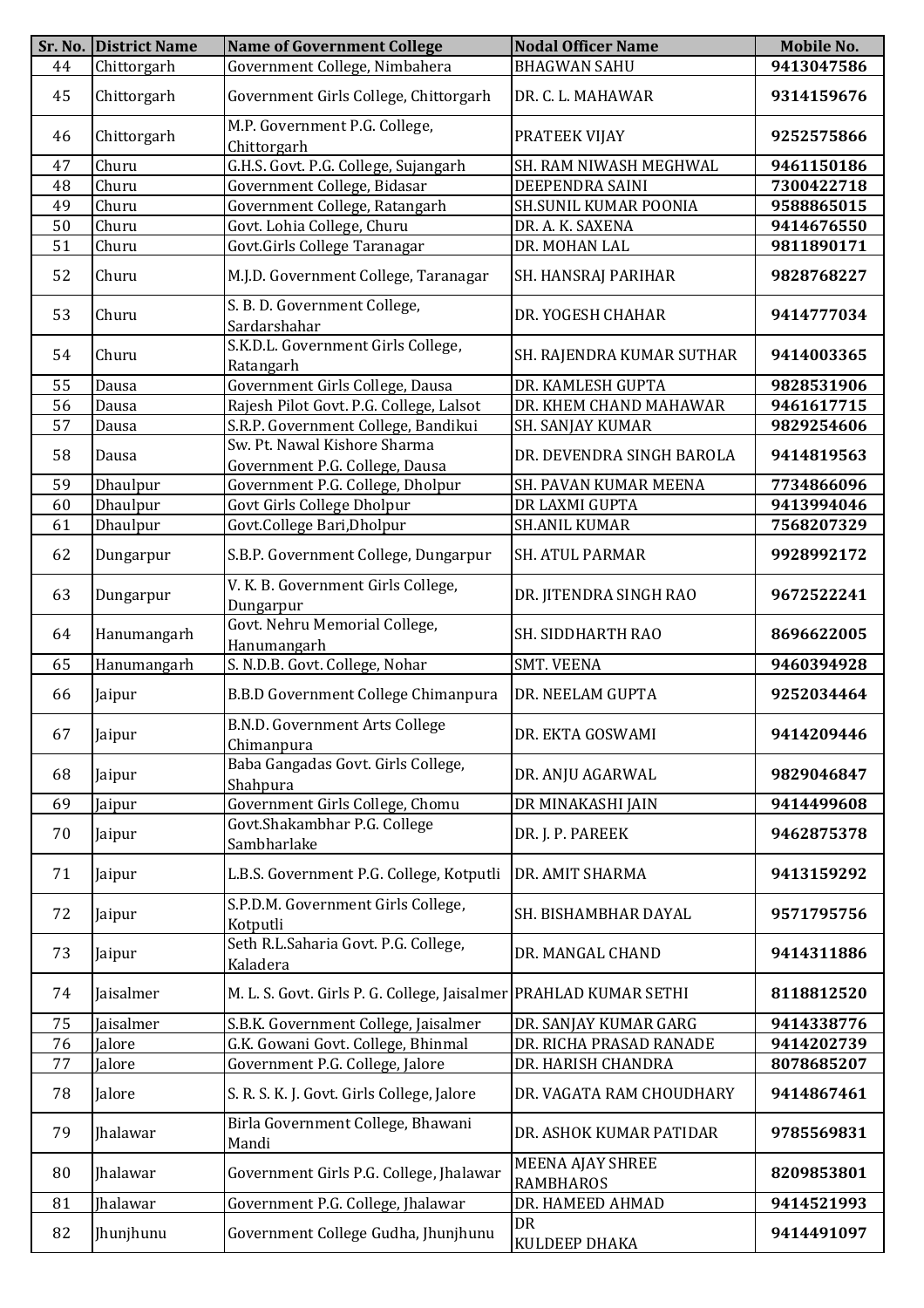|    | Sr. No. District Name | <b>Name of Government College</b>                                 | <b>Nodal Officer Name</b>            | Mobile No. |
|----|-----------------------|-------------------------------------------------------------------|--------------------------------------|------------|
| 44 | Chittorgarh           | Government College, Nimbahera                                     | <b>BHAGWAN SAHU</b>                  | 9413047586 |
| 45 | Chittorgarh           | Government Girls College, Chittorgarh                             | DR. C. L. MAHAWAR                    | 9314159676 |
| 46 | Chittorgarh           | M.P. Government P.G. College,<br>Chittorgarh                      | PRATEEK VIJAY                        | 9252575866 |
| 47 | Churu                 | G.H.S. Govt. P.G. College, Sujangarh                              | SH. RAM NIWASH MEGHWAL               | 9461150186 |
| 48 | Churu                 | Government College, Bidasar                                       | DEEPENDRA SAINI                      | 7300422718 |
| 49 | Churu                 | Government College, Ratangarh                                     | SH.SUNIL KUMAR POONIA                | 9588865015 |
| 50 | Churu                 | Govt. Lohia College, Churu                                        | DR. A. K. SAXENA                     | 9414676550 |
| 51 | Churu                 | Govt.Girls College Taranagar                                      | DR. MOHAN LAL                        | 9811890171 |
| 52 | Churu                 | M.J.D. Government College, Taranagar                              | SH. HANSRAJ PARIHAR                  | 9828768227 |
| 53 | Churu                 | S. B. D. Government College,<br>Sardarshahar                      | DR. YOGESH CHAHAR                    | 9414777034 |
| 54 | Churu                 | S.K.D.L. Government Girls College,<br>Ratangarh                   | SH. RAJENDRA KUMAR SUTHAR            | 9414003365 |
| 55 | Dausa                 | Government Girls College, Dausa                                   | DR. KAMLESH GUPTA                    | 9828531906 |
| 56 | Dausa                 | Rajesh Pilot Govt. P.G. College, Lalsot                           | DR. KHEM CHAND MAHAWAR               | 9461617715 |
| 57 | <b>Dausa</b>          | S.R.P. Government College, Bandikui                               | SH. SANJAY KUMAR                     | 9829254606 |
|    |                       | Sw. Pt. Nawal Kishore Sharma                                      |                                      |            |
| 58 | Dausa                 | Government P.G. College, Dausa                                    | DR. DEVENDRA SINGH BAROLA            | 9414819563 |
| 59 | Dhaulpur              | Government P.G. College, Dholpur                                  | SH. PAVAN KUMAR MEENA                | 7734866096 |
| 60 | Dhaulpur              | Govt Girls College Dholpur                                        | DR LAXMI GUPTA                       | 9413994046 |
| 61 | Dhaulpur              | Govt.College Bari, Dholpur                                        | <b>SH.ANIL KUMAR</b>                 | 7568207329 |
| 62 | Dungarpur             | S.B.P. Government College, Dungarpur                              | SH. ATUL PARMAR                      | 9928992172 |
| 63 | Dungarpur             | V. K. B. Government Girls College,<br>Dungarpur                   | DR. JITENDRA SINGH RAO               | 9672522241 |
| 64 | Hanumangarh           | Govt. Nehru Memorial College,<br>Hanumangarh                      | <b>SH. SIDDHARTH RAO</b>             | 8696622005 |
| 65 | Hanumangarh           | S. N.D.B. Govt. College, Nohar                                    | <b>SMT. VEENA</b>                    | 9460394928 |
| 66 | Jaipur                | B.B.D Government College Chimanpura                               | DR. NEELAM GUPTA                     | 9252034464 |
| 67 | Jaipur                | <b>B.N.D. Government Arts College</b><br>Chimanpura               | DR. EKTA GOSWAMI                     | 9414209446 |
| 68 | Jaipur                | Baba Gangadas Govt. Girls College,<br>Shahpura                    | DR. ANJU AGARWAL                     | 9829046847 |
| 69 | Jaipur                | Government Girls College, Chomu                                   | DR MINAKASHI JAIN                    | 9414499608 |
| 70 | Jaipur                | Govt.Shakambhar P.G. College<br>Sambharlake                       | DR. J. P. PAREEK                     | 9462875378 |
| 71 | Jaipur                | L.B.S. Government P.G. College, Kotputli                          | DR. AMIT SHARMA                      | 9413159292 |
| 72 | Jaipur                | S.P.D.M. Government Girls College,<br>Kotputli                    | SH. BISHAMBHAR DAYAL                 | 9571795756 |
| 73 | Jaipur                | Seth R.L.Saharia Govt. P.G. College,<br>Kaladera                  | DR. MANGAL CHAND                     | 9414311886 |
| 74 | Jaisalmer             | M. L. S. Govt. Girls P. G. College, Jaisalmer PRAHLAD KUMAR SETHI |                                      | 8118812520 |
| 75 | Jaisalmer             | S.B.K. Government College, Jaisalmer                              | DR. SANJAY KUMAR GARG                | 9414338776 |
| 76 | Jalore                | G.K. Gowani Govt. College, Bhinmal                                | DR. RICHA PRASAD RANADE              | 9414202739 |
| 77 | Jalore                | Government P.G. College, Jalore                                   | DR. HARISH CHANDRA                   | 8078685207 |
| 78 | Jalore                | S. R. S. K. J. Govt. Girls College, Jalore                        | DR. VAGATA RAM CHOUDHARY             | 9414867461 |
| 79 | <b>Ihalawar</b>       | Birla Government College, Bhawani<br>Mandi                        | DR. ASHOK KUMAR PATIDAR              | 9785569831 |
| 80 | <b>Ihalawar</b>       | Government Girls P.G. College, Jhalawar                           | MEENA AJAY SHREE<br><b>RAMBHAROS</b> | 8209853801 |
| 81 | <b>Ihalawar</b>       | Government P.G. College, Jhalawar                                 | DR. HAMEED AHMAD                     | 9414521993 |
| 82 | Jhunjhunu             | Government College Gudha, Jhunjhunu                               | DR<br>KULDEEP DHAKA                  | 9414491097 |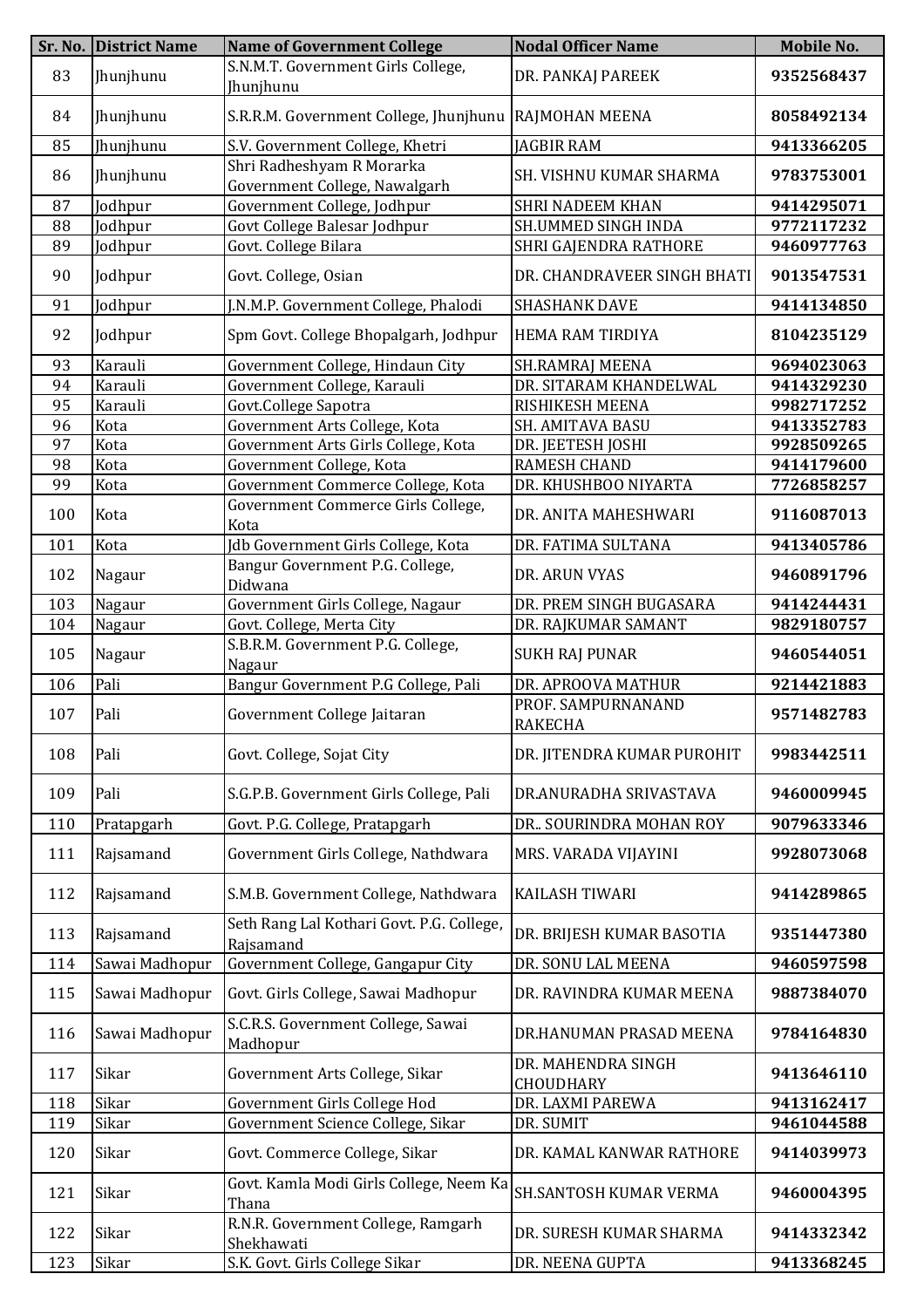|     | Sr. No. District Name | <b>Name of Government College</b>                          | <b>Nodal Officer Name</b>       | Mobile No. |
|-----|-----------------------|------------------------------------------------------------|---------------------------------|------------|
| 83  | Jhunjhunu             | S.N.M.T. Government Girls College,<br>Jhunjhunu            | DR. PANKAJ PAREEK               | 9352568437 |
| 84  | Jhunjhunu             | S.R.R.M. Government College, Jhunjhunu   RAJMOHAN MEENA    |                                 | 8058492134 |
| 85  | Jhunjhunu             | S.V. Government College, Khetri                            | <b>JAGBIR RAM</b>               | 9413366205 |
| 86  | Jhunjhunu             | Shri Radheshyam R Morarka<br>Government College, Nawalgarh | SH. VISHNU KUMAR SHARMA         | 9783753001 |
| 87  | Jodhpur               | Government College, Jodhpur                                | <b>SHRI NADEEM KHAN</b>         | 9414295071 |
| 88  | Jodhpur               | Govt College Balesar Jodhpur                               | SH.UMMED SINGH INDA             | 9772117232 |
| 89  | Jodhpur               | Govt. College Bilara                                       | SHRI GAJENDRA RATHORE           | 9460977763 |
| 90  | Jodhpur               | Govt. College, Osian                                       | DR. CHANDRAVEER SINGH BHATI     | 9013547531 |
| 91  | Jodhpur               | J.N.M.P. Government College, Phalodi                       | <b>SHASHANK DAVE</b>            | 9414134850 |
| 92  | Jodhpur               | Spm Govt. College Bhopalgarh, Jodhpur                      | <b>HEMA RAM TIRDIYA</b>         | 8104235129 |
| 93  | Karauli               | Government College, Hindaun City                           | <b>SH.RAMRAJ MEENA</b>          | 9694023063 |
| 94  | Karauli               | Government College, Karauli                                | DR. SITARAM KHANDELWAL          | 9414329230 |
| 95  | Karauli               | Govt.College Sapotra                                       | RISHIKESH MEENA                 | 9982717252 |
| 96  | Kota                  | Government Arts College, Kota                              | SH. AMITAVA BASU                | 9413352783 |
| 97  | Kota                  | Government Arts Girls College, Kota                        | DR. JEETESH JOSHI               | 9928509265 |
| 98  | Kota                  | Government College, Kota                                   | <b>RAMESH CHAND</b>             | 9414179600 |
| 99  | Kota                  | Government Commerce College, Kota                          | DR. KHUSHBOO NIYARTA            | 7726858257 |
| 100 | Kota                  | Government Commerce Girls College,<br>Kota                 | DR. ANITA MAHESHWARI            | 9116087013 |
| 101 | Kota                  | Jdb Government Girls College, Kota                         | DR. FATIMA SULTANA              | 9413405786 |
| 102 | Nagaur                | Bangur Government P.G. College,<br>Didwana                 | DR. ARUN VYAS                   | 9460891796 |
| 103 | Nagaur                | Government Girls College, Nagaur                           | DR. PREM SINGH BUGASARA         | 9414244431 |
| 104 | Nagaur                | Govt. College, Merta City                                  | DR. RAJKUMAR SAMANT             | 9829180757 |
| 105 | Nagaur                | S.B.R.M. Government P.G. College,<br>Nagaur                | <b>SUKH RAJ PUNAR</b>           | 9460544051 |
| 106 | Pali                  | Bangur Government P.G College, Pali                        | DR. APROOVA MATHUR              | 9214421883 |
|     |                       |                                                            | PROF. SAMPURNANAND              |            |
| 107 | Pali                  | Government College Jaitaran                                | <b>RAKECHA</b>                  | 9571482783 |
| 108 | Pali                  | Govt. College, Sojat City                                  | DR. JITENDRA KUMAR PUROHIT      | 9983442511 |
| 109 | Pali                  | S.G.P.B. Government Girls College, Pali                    | DR.ANURADHA SRIVASTAVA          | 9460009945 |
| 110 | Pratapgarh            | Govt. P.G. College, Pratapgarh                             | DR SOURINDRA MOHAN ROY          | 9079633346 |
| 111 | Rajsamand             | Government Girls College, Nathdwara                        | MRS. VARADA VIJAYINI            | 9928073068 |
| 112 | Rajsamand             | S.M.B. Government College, Nathdwara                       | <b>KAILASH TIWARI</b>           | 9414289865 |
| 113 | Rajsamand             | Seth Rang Lal Kothari Govt. P.G. College,<br>Rajsamand     | DR. BRIJESH KUMAR BASOTIA       | 9351447380 |
| 114 | Sawai Madhopur        | Government College, Gangapur City                          | DR. SONU LAL MEENA              | 9460597598 |
| 115 | Sawai Madhopur        | Govt. Girls College, Sawai Madhopur                        | DR. RAVINDRA KUMAR MEENA        | 9887384070 |
| 116 | Sawai Madhopur        | S.C.R.S. Government College, Sawai<br>Madhopur             | DR.HANUMAN PRASAD MEENA         | 9784164830 |
| 117 | Sikar                 | Government Arts College, Sikar                             | DR. MAHENDRA SINGH<br>CHOUDHARY | 9413646110 |
| 118 | Sikar                 | Government Girls College Hod                               | DR. LAXMI PAREWA                | 9413162417 |
| 119 | Sikar                 | Government Science College, Sikar                          | DR. SUMIT                       | 9461044588 |
| 120 | Sikar                 | Govt. Commerce College, Sikar                              | DR. KAMAL KANWAR RATHORE        | 9414039973 |
| 121 | Sikar                 | Govt. Kamla Modi Girls College, Neem Ka<br>Thana           | SH.SANTOSH KUMAR VERMA          | 9460004395 |
| 122 | Sikar                 | R.N.R. Government College, Ramgarh<br>Shekhawati           | DR. SURESH KUMAR SHARMA         | 9414332342 |
| 123 | Sikar                 | S.K. Govt. Girls College Sikar                             | DR. NEENA GUPTA                 | 9413368245 |